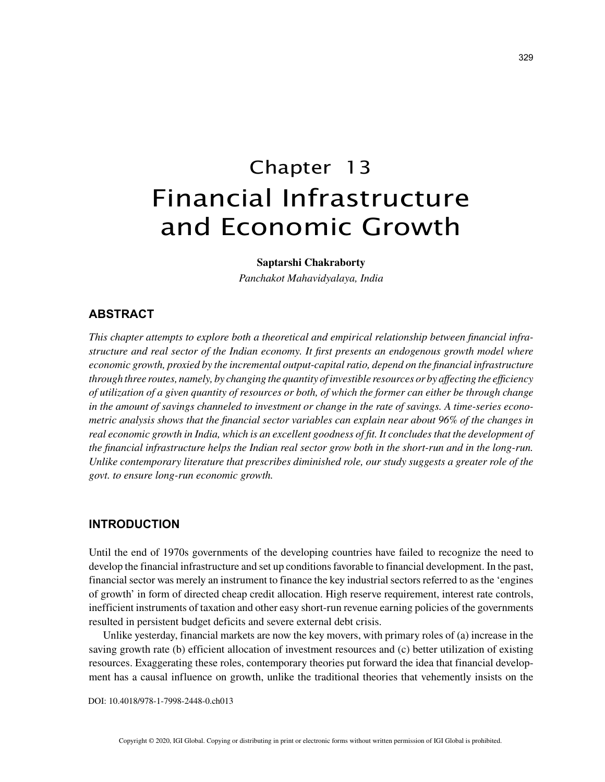# Chapter 13 Financial Infrastructure and Economic Growth

**Saptarshi Chakraborty**

*Panchakot Mahavidyalaya, India*

## **ABSTRACT**

*This chapter attempts to explore both a theoretical and empirical relationship between financial infrastructure and real sector of the Indian economy. It first presents an endogenous growth model where economic growth, proxied by the incremental output-capital ratio, depend on the financial infrastructure through three routes, namely, by changing the quantity of investible resources or by affecting the efficiency of utilization of a given quantity of resources or both, of which the former can either be through change in the amount of savings channeled to investment or change in the rate of savings. A time-series econometric analysis shows that the financial sector variables can explain near about 96% of the changes in real economic growth in India, which is an excellent goodness of fit. It concludes that the development of the financial infrastructure helps the Indian real sector grow both in the short-run and in the long-run. Unlike contemporary literature that prescribes diminished role, our study suggests a greater role of the govt. to ensure long-run economic growth.*

## **INTRODUCTION**

Until the end of 1970s governments of the developing countries have failed to recognize the need to develop the financial infrastructure and set up conditions favorable to financial development. In the past, financial sector was merely an instrument to finance the key industrial sectors referred to as the 'engines of growth' in form of directed cheap credit allocation. High reserve requirement, interest rate controls, inefficient instruments of taxation and other easy short-run revenue earning policies of the governments resulted in persistent budget deficits and severe external debt crisis.

Unlike yesterday, financial markets are now the key movers, with primary roles of (a) increase in the saving growth rate (b) efficient allocation of investment resources and (c) better utilization of existing resources. Exaggerating these roles, contemporary theories put forward the idea that financial development has a causal influence on growth, unlike the traditional theories that vehemently insists on the

DOI: 10.4018/978-1-7998-2448-0.ch013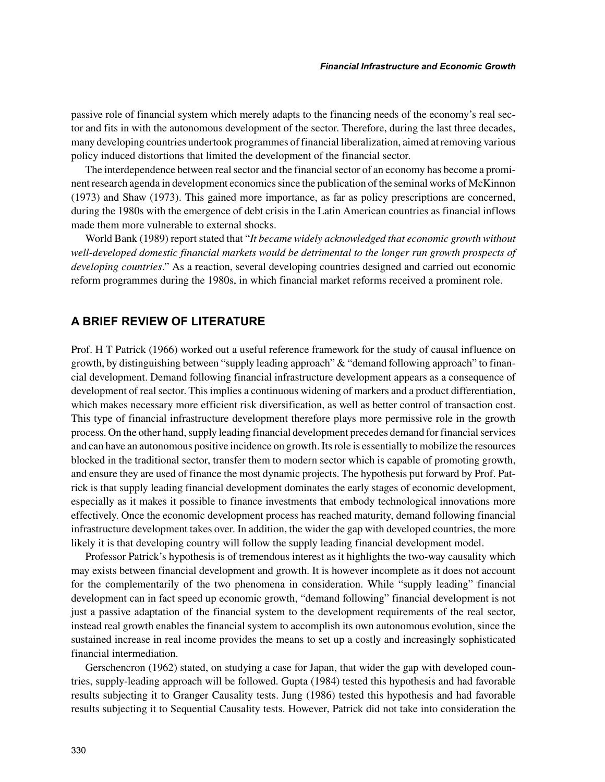passive role of financial system which merely adapts to the financing needs of the economy's real sector and fits in with the autonomous development of the sector. Therefore, during the last three decades, many developing countries undertook programmes of financial liberalization, aimed at removing various policy induced distortions that limited the development of the financial sector.

The interdependence between real sector and the financial sector of an economy has become a prominent research agenda in development economics since the publication of the seminal works of McKinnon (1973) and Shaw (1973). This gained more importance, as far as policy prescriptions are concerned, during the 1980s with the emergence of debt crisis in the Latin American countries as financial inflows made them more vulnerable to external shocks.

World Bank (1989) report stated that "*It became widely acknowledged that economic growth without well-developed domestic financial markets would be detrimental to the longer run growth prospects of developing countries*." As a reaction, several developing countries designed and carried out economic reform programmes during the 1980s, in which financial market reforms received a prominent role.

## **A BRIEF REVIEW OF LITERATURE**

Prof. H T Patrick (1966) worked out a useful reference framework for the study of causal influence on growth, by distinguishing between "supply leading approach" & "demand following approach" to financial development. Demand following financial infrastructure development appears as a consequence of development of real sector. This implies a continuous widening of markers and a product differentiation, which makes necessary more efficient risk diversification, as well as better control of transaction cost. This type of financial infrastructure development therefore plays more permissive role in the growth process. On the other hand, supply leading financial development precedes demand for financial services and can have an autonomous positive incidence on growth. Its role is essentially to mobilize the resources blocked in the traditional sector, transfer them to modern sector which is capable of promoting growth, and ensure they are used of finance the most dynamic projects. The hypothesis put forward by Prof. Patrick is that supply leading financial development dominates the early stages of economic development, especially as it makes it possible to finance investments that embody technological innovations more effectively. Once the economic development process has reached maturity, demand following financial infrastructure development takes over. In addition, the wider the gap with developed countries, the more likely it is that developing country will follow the supply leading financial development model.

Professor Patrick's hypothesis is of tremendous interest as it highlights the two-way causality which may exists between financial development and growth. It is however incomplete as it does not account for the complementarily of the two phenomena in consideration. While "supply leading" financial development can in fact speed up economic growth, "demand following" financial development is not just a passive adaptation of the financial system to the development requirements of the real sector, instead real growth enables the financial system to accomplish its own autonomous evolution, since the sustained increase in real income provides the means to set up a costly and increasingly sophisticated financial intermediation.

Gerschencron (1962) stated, on studying a case for Japan, that wider the gap with developed countries, supply-leading approach will be followed. Gupta (1984) tested this hypothesis and had favorable results subjecting it to Granger Causality tests. Jung (1986) tested this hypothesis and had favorable results subjecting it to Sequential Causality tests. However, Patrick did not take into consideration the